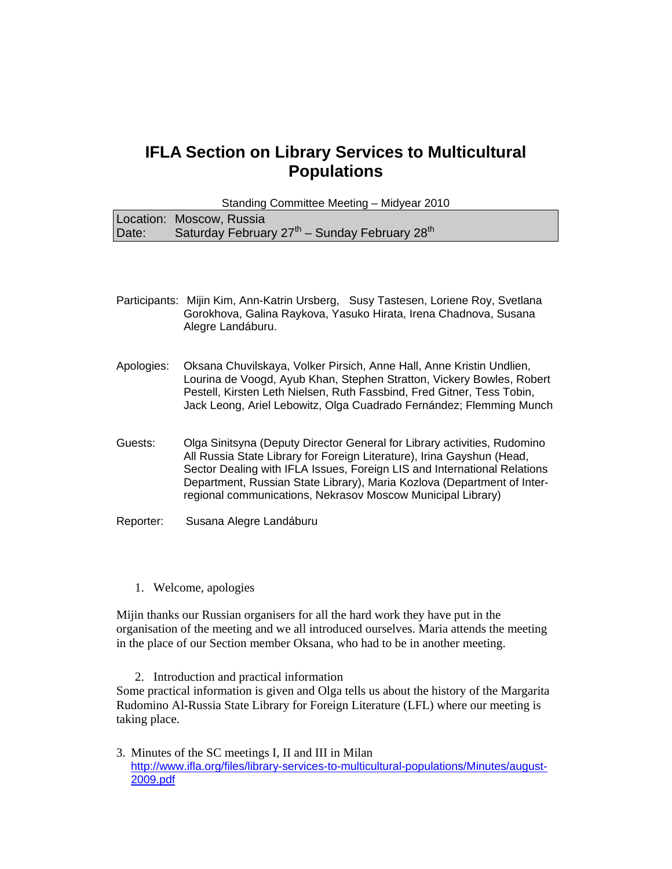# **IFLA Section on Library Services to Multicultural Populations**

Standing Committee Meeting – Midyear 2010 Location: Moscow, Russia Date: Saturday February  $27<sup>th</sup>$  – Sunday February  $28<sup>th</sup>$ 

- Participants: Mijin Kim, Ann-Katrin Ursberg, Susy Tastesen, Loriene Roy, Svetlana Gorokhova, Galina Raykova, Yasuko Hirata, Irena Chadnova, Susana Alegre Landáburu.
- Apologies: Oksana Chuvilskaya, Volker Pirsich, Anne Hall, Anne Kristin Undlien, Lourina de Voogd, Ayub Khan, Stephen Stratton, Vickery Bowles, Robert Pestell, Kirsten Leth Nielsen, Ruth Fassbind, Fred Gitner, Tess Tobin, Jack Leong, Ariel Lebowitz, Olga Cuadrado Fernández; Flemming Munch
- Guests: Olga Sinitsyna (Deputy Director General for Library activities, Rudomino All Russia State Library for Foreign Literature), Irina Gayshun (Head, Sector Dealing with IFLA Issues, Foreign LIS and International Relations Department, Russian State Library), Maria Kozlova (Department of Interregional communications, Nekrasov Moscow Municipal Library)
- Reporter: Susana Alegre Landáburu
	- 1. Welcome, apologies

Mijin thanks our Russian organisers for all the hard work they have put in the organisation of the meeting and we all introduced ourselves. Maria attends the meeting in the place of our Section member Oksana, who had to be in another meeting.

2. Introduction and practical information Some practical information is given and Olga tells us about the history of the Margarita Rudomino Al-Russia State Library for Foreign Literature (LFL) where our meeting is taking place.

3. Minutes of the SC meetings I, II and III in Milan http://www.ifla.org/files/library-services-to-multicultural-populations/Minutes/august-2009.pdf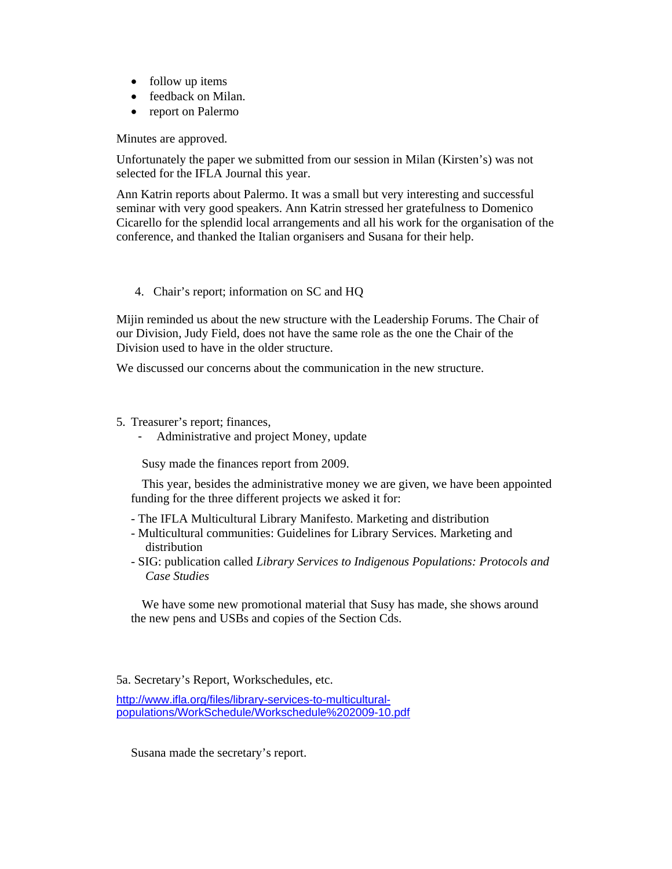- follow up items
- feedback on Milan.
- report on Palermo

Minutes are approved.

Unfortunately the paper we submitted from our session in Milan (Kirsten's) was not selected for the IFLA Journal this year.

Ann Katrin reports about Palermo. It was a small but very interesting and successful seminar with very good speakers. Ann Katrin stressed her gratefulness to Domenico Cicarello for the splendid local arrangements and all his work for the organisation of the conference, and thanked the Italian organisers and Susana for their help.

# 4. Chair's report; information on SC and HQ

Mijin reminded us about the new structure with the Leadership Forums. The Chair of our Division, Judy Field, does not have the same role as the one the Chair of the Division used to have in the older structure.

We discussed our concerns about the communication in the new structure.

- 5. Treasurer's report; finances,
	- Administrative and project Money, update

Susy made the finances report from 2009.

This year, besides the administrative money we are given, we have been appointed funding for the three different projects we asked it for:

- The IFLA Multicultural Library Manifesto. Marketing and distribution
- Multicultural communities: Guidelines for Library Services. Marketing and distribution
- SIG: publication called *Library Services to Indigenous Populations: Protocols and Case Studies*

We have some new promotional material that Susy has made, she shows around the new pens and USBs and copies of the Section Cds.

5a. Secretary's Report, Workschedules, etc.

http://www.ifla.org/files/library-services-to-multiculturalpopulations/WorkSchedule/Workschedule%202009-10.pdf

Susana made the secretary's report.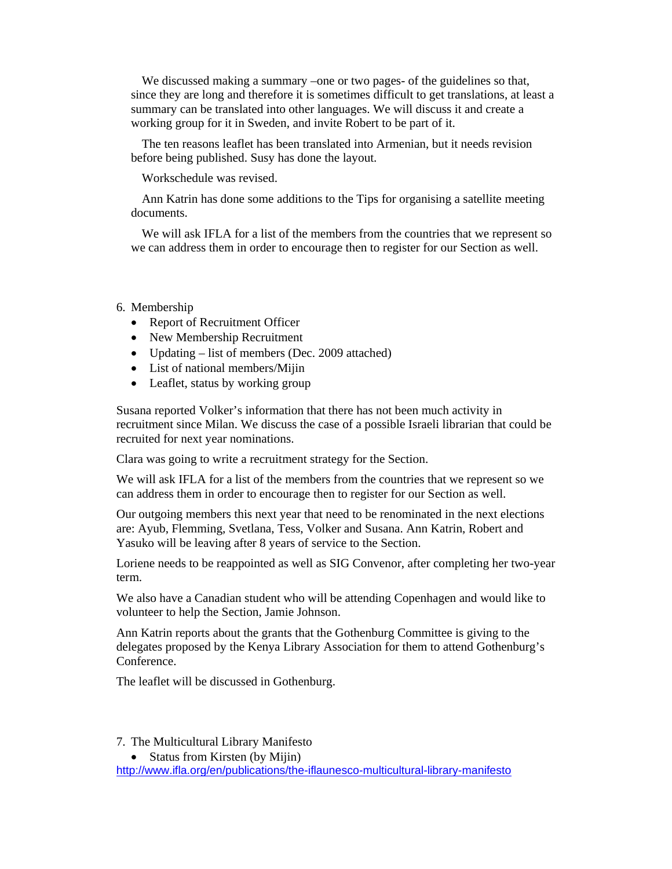We discussed making a summary –one or two pages- of the guidelines so that, since they are long and therefore it is sometimes difficult to get translations, at least a summary can be translated into other languages. We will discuss it and create a working group for it in Sweden, and invite Robert to be part of it.

The ten reasons leaflet has been translated into Armenian, but it needs revision before being published. Susy has done the layout.

Workschedule was revised.

Ann Katrin has done some additions to the Tips for organising a satellite meeting documents.

We will ask IFLA for a list of the members from the countries that we represent so we can address them in order to encourage then to register for our Section as well.

# 6. Membership

- Report of Recruitment Officer
- New Membership Recruitment
- Updating list of members (Dec. 2009 attached)
- List of national members/Mijin
- Leaflet, status by working group

Susana reported Volker's information that there has not been much activity in recruitment since Milan. We discuss the case of a possible Israeli librarian that could be recruited for next year nominations.

Clara was going to write a recruitment strategy for the Section.

We will ask IFLA for a list of the members from the countries that we represent so we can address them in order to encourage then to register for our Section as well.

Our outgoing members this next year that need to be renominated in the next elections are: Ayub, Flemming, Svetlana, Tess, Volker and Susana. Ann Katrin, Robert and Yasuko will be leaving after 8 years of service to the Section.

Loriene needs to be reappointed as well as SIG Convenor, after completing her two-year term.

We also have a Canadian student who will be attending Copenhagen and would like to volunteer to help the Section, Jamie Johnson.

Ann Katrin reports about the grants that the Gothenburg Committee is giving to the delegates proposed by the Kenya Library Association for them to attend Gothenburg's **Conference** 

The leaflet will be discussed in Gothenburg.

7. The Multicultural Library Manifesto

• Status from Kirsten (by Mijin) http://www.ifla.org/en/publications/the-iflaunesco-multicultural-library-manifesto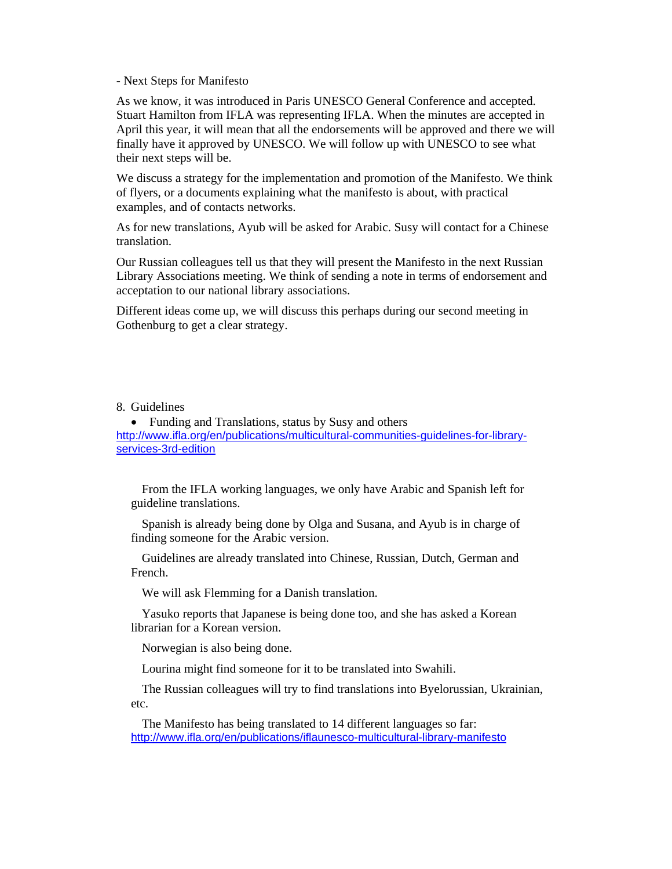- Next Steps for Manifesto

As we know, it was introduced in Paris UNESCO General Conference and accepted. Stuart Hamilton from IFLA was representing IFLA. When the minutes are accepted in April this year, it will mean that all the endorsements will be approved and there we will finally have it approved by UNESCO. We will follow up with UNESCO to see what their next steps will be.

We discuss a strategy for the implementation and promotion of the Manifesto. We think of flyers, or a documents explaining what the manifesto is about, with practical examples, and of contacts networks.

As for new translations, Ayub will be asked for Arabic. Susy will contact for a Chinese translation.

Our Russian colleagues tell us that they will present the Manifesto in the next Russian Library Associations meeting. We think of sending a note in terms of endorsement and acceptation to our national library associations.

Different ideas come up, we will discuss this perhaps during our second meeting in Gothenburg to get a clear strategy.

### 8. Guidelines

• Funding and Translations, status by Susy and others http://www.ifla.org/en/publications/multicultural-communities-guidelines-for-libraryservices-3rd-edition

From the IFLA working languages, we only have Arabic and Spanish left for guideline translations.

Spanish is already being done by Olga and Susana, and Ayub is in charge of finding someone for the Arabic version.

Guidelines are already translated into Chinese, Russian, Dutch, German and French.

We will ask Flemming for a Danish translation.

Yasuko reports that Japanese is being done too, and she has asked a Korean librarian for a Korean version.

Norwegian is also being done.

Lourina might find someone for it to be translated into Swahili.

The Russian colleagues will try to find translations into Byelorussian, Ukrainian, etc.

The Manifesto has being translated to 14 different languages so far: http://www.ifla.org/en/publications/iflaunesco-multicultural-library-manifesto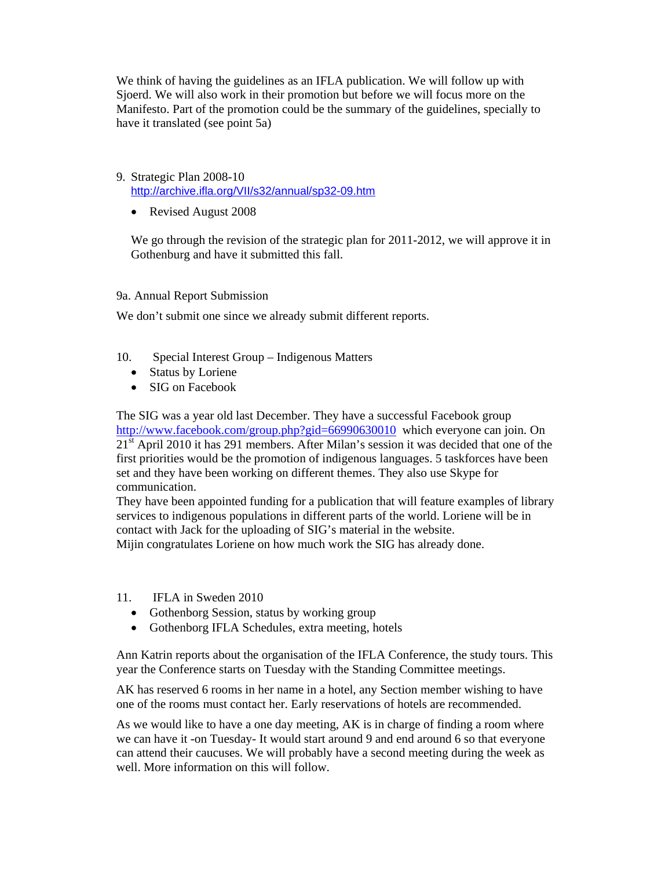We think of having the guidelines as an IFLA publication. We will follow up with Sjoerd. We will also work in their promotion but before we will focus more on the Manifesto. Part of the promotion could be the summary of the guidelines, specially to have it translated (see point 5a)

#### 9. Strategic Plan 2008-10 http://archive.ifla.org/VII/s32/annual/sp32-09.htm

• Revised August 2008

We go through the revision of the strategic plan for 2011-2012, we will approve it in Gothenburg and have it submitted this fall.

# 9a. Annual Report Submission

We don't submit one since we already submit different reports.

- 10. Special Interest Group Indigenous Matters
	- Status by Loriene
	- SIG on Facebook

The SIG was a year old last December. They have a successful Facebook group http://www.facebook.com/group.php?gid=66990630010 which everyone can join. On 21<sup>st</sup> April 2010 it has 291 members. After Milan's session it was decided that one of the first priorities would be the promotion of indigenous languages. 5 taskforces have been set and they have been working on different themes. They also use Skype for communication.

They have been appointed funding for a publication that will feature examples of library services to indigenous populations in different parts of the world. Loriene will be in contact with Jack for the uploading of SIG's material in the website. Mijin congratulates Loriene on how much work the SIG has already done.

- 11. IFLA in Sweden 2010
	- Gothenborg Session, status by working group
	- Gothenborg IFLA Schedules, extra meeting, hotels

Ann Katrin reports about the organisation of the IFLA Conference, the study tours. This year the Conference starts on Tuesday with the Standing Committee meetings.

AK has reserved 6 rooms in her name in a hotel, any Section member wishing to have one of the rooms must contact her. Early reservations of hotels are recommended.

As we would like to have a one day meeting, AK is in charge of finding a room where we can have it -on Tuesday- It would start around 9 and end around 6 so that everyone can attend their caucuses. We will probably have a second meeting during the week as well. More information on this will follow.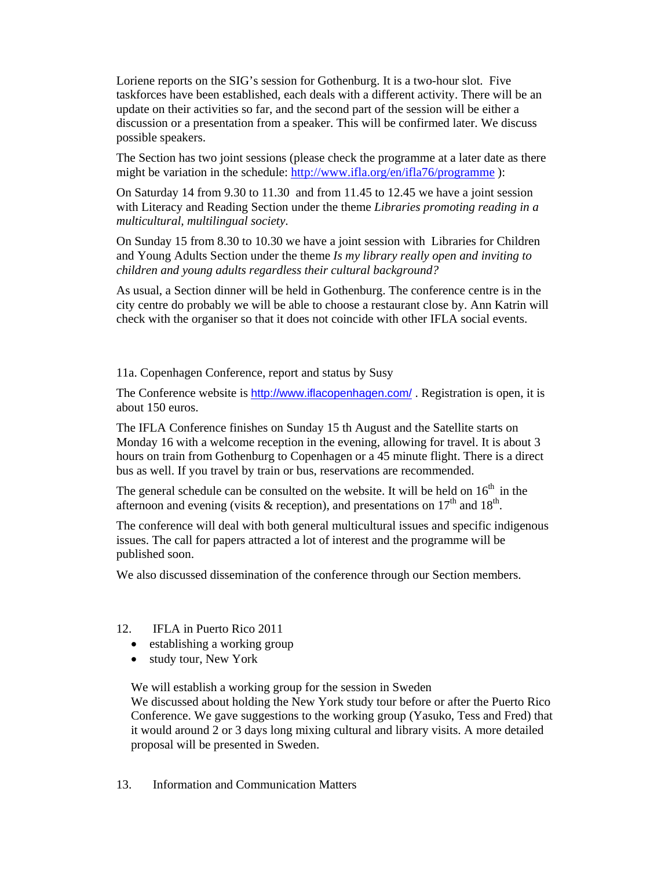Loriene reports on the SIG's session for Gothenburg. It is a two-hour slot. Five taskforces have been established, each deals with a different activity. There will be an update on their activities so far, and the second part of the session will be either a discussion or a presentation from a speaker. This will be confirmed later. We discuss possible speakers.

The Section has two joint sessions (please check the programme at a later date as there might be variation in the schedule: http://www.ifla.org/en/ifla76/programme):

On Saturday 14 from 9.30 to 11.30 and from 11.45 to 12.45 we have a joint session with Literacy and Reading Section under the theme *Libraries promoting reading in a multicultural, multilingual society*.

On Sunday 15 from 8.30 to 10.30 we have a joint session with Libraries for Children and Young Adults Section under the theme *Is my library really open and inviting to children and young adults regardless their cultural background?* 

As usual, a Section dinner will be held in Gothenburg. The conference centre is in the city centre do probably we will be able to choose a restaurant close by. Ann Katrin will check with the organiser so that it does not coincide with other IFLA social events.

11a. Copenhagen Conference, report and status by Susy

The Conference website is http://www.iflacopenhagen.com/ . Registration is open, it is about 150 euros.

The IFLA Conference finishes on Sunday 15 th August and the Satellite starts on Monday 16 with a welcome reception in the evening, allowing for travel. It is about 3 hours on train from Gothenburg to Copenhagen or a 45 minute flight. There is a direct bus as well. If you travel by train or bus, reservations are recommended.

The general schedule can be consulted on the website. It will be held on  $16<sup>th</sup>$  in the afternoon and evening (visits & reception), and presentations on  $17<sup>th</sup>$  and  $18<sup>th</sup>$ .

The conference will deal with both general multicultural issues and specific indigenous issues. The call for papers attracted a lot of interest and the programme will be published soon.

We also discussed dissemination of the conference through our Section members.

- 12. IFLA in Puerto Rico 2011
	- establishing a working group
	- study tour, New York

We will establish a working group for the session in Sweden We discussed about holding the New York study tour before or after the Puerto Rico Conference. We gave suggestions to the working group (Yasuko, Tess and Fred) that it would around 2 or 3 days long mixing cultural and library visits. A more detailed proposal will be presented in Sweden.

13. Information and Communication Matters